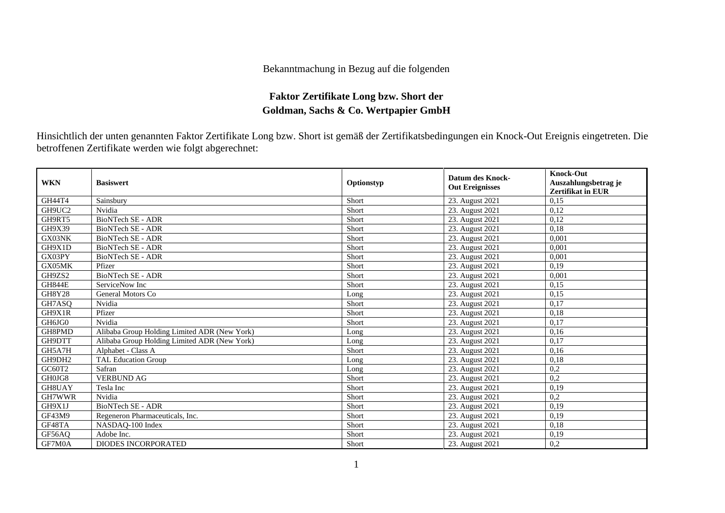## Bekanntmachung in Bezug auf die folgenden

## **Faktor Zertifikate Long bzw. Short der Goldman, Sachs & Co. Wertpapier GmbH**

Hinsichtlich der unten genannten Faktor Zertifikate Long bzw. Short ist gemäß der Zertifikatsbedingungen ein Knock-Out Ereignis eingetreten. Die betroffenen Zertifikate werden wie folgt abgerechnet:

| <b>WKN</b>    | <b>Basiswert</b>                             | Optionstyp | <b>Datum des Knock-</b><br><b>Out Ereignisses</b> | <b>Knock-Out</b><br>Auszahlungsbetrag je<br><b>Zertifikat in EUR</b> |
|---------------|----------------------------------------------|------------|---------------------------------------------------|----------------------------------------------------------------------|
| GH44T4        | Sainsbury                                    | Short      | 23. August 2021                                   | 0.15                                                                 |
| GH9UC2        | Nvidia                                       | Short      | 23. August 2021                                   | 0,12                                                                 |
| GH9RT5        | BioNTech SE - ADR                            | Short      | 23. August 2021                                   | 0.12                                                                 |
| GH9X39        | <b>BioNTech SE - ADR</b>                     | Short      | 23. August 2021                                   | 0,18                                                                 |
| GX03NK        | <b>BioNTech SE - ADR</b>                     | Short      | 23. August 2021                                   | 0.001                                                                |
| GH9X1D        | <b>BioNTech SE - ADR</b>                     | Short      | 23. August 2021                                   | 0.001                                                                |
| GX03PY        | <b>BioNTech SE - ADR</b>                     | Short      | 23. August 2021                                   | 0,001                                                                |
| GX05MK        | Pfizer                                       | Short      | 23. August 2021                                   | 0.19                                                                 |
| GH9ZS2        | <b>BioNTech SE - ADR</b>                     | Short      | 23. August 2021                                   | 0.001                                                                |
| <b>GH844E</b> | ServiceNow Inc                               | Short      | 23. August 2021                                   | 0.15                                                                 |
| <b>GH8Y28</b> | General Motors Co                            | Long       | 23. August 2021                                   | 0,15                                                                 |
| GH7ASO        | Nvidia                                       | Short      | 23. August 2021                                   | 0.17                                                                 |
| GH9X1R        | Pfizer                                       | Short      | 23. August 2021                                   | 0.18                                                                 |
| GH6JG0        | Nvidia                                       | Short      | 23. August 2021                                   | 0,17                                                                 |
| GH8PMD        | Alibaba Group Holding Limited ADR (New York) | Long       | 23. August 2021                                   | 0,16                                                                 |
| GH9DTT        | Alibaba Group Holding Limited ADR (New York) | Long       | 23. August 2021                                   | 0,17                                                                 |
| GH5A7H        | Alphabet - Class A                           | Short      | 23. August 2021                                   | 0,16                                                                 |
| GH9DH2        | <b>TAL Education Group</b>                   | Long       | 23. August 2021                                   | 0,18                                                                 |
| GC60T2        | Safran                                       | Long       | 23. August 2021                                   | 0,2                                                                  |
| GH0JG8        | <b>VERBUND AG</b>                            | Short      | 23. August 2021                                   | 0,2                                                                  |
| GH8UAY        | Tesla Inc                                    | Short      | 23. August 2021                                   | 0,19                                                                 |
| GH7WWR        | Nvidia                                       | Short      | 23. August 2021                                   | 0,2                                                                  |
| GH9X1J        | <b>BioNTech SE - ADR</b>                     | Short      | 23. August 2021                                   | 0.19                                                                 |
| GF43M9        | Regeneron Pharmaceuticals, Inc.              | Short      | 23. August 2021                                   | 0.19                                                                 |
| GF48TA        | NASDAQ-100 Index                             | Short      | 23. August 2021                                   | 0,18                                                                 |
| GF56AO        | Adobe Inc.                                   | Short      | 23. August 2021                                   | 0,19                                                                 |
| GF7M0A        | DIODES INCORPORATED                          | Short      | 23. August 2021                                   | 0,2                                                                  |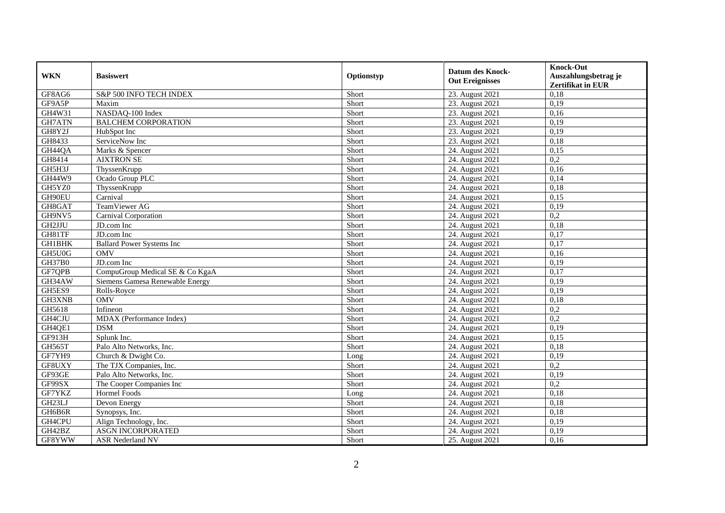| <b>WKN</b>    | <b>Basiswert</b>                 | Optionstyp | <b>Datum des Knock-</b><br><b>Out Ereignisses</b> | <b>Knock-Out</b><br>Auszahlungsbetrag je<br><b>Zertifikat in EUR</b> |
|---------------|----------------------------------|------------|---------------------------------------------------|----------------------------------------------------------------------|
| GF8AG6        | S&P 500 INFO TECH INDEX          | Short      | 23. August 2021                                   | 0,18                                                                 |
| GF9A5P        | Maxim                            | Short      | 23. August 2021                                   | 0,19                                                                 |
| GH4W31        | NASDAQ-100 Index                 | Short      | 23. August 2021                                   | 0,16                                                                 |
| <b>GH7ATN</b> | <b>BALCHEM CORPORATION</b>       | Short      | 23. August 2021                                   | 0,19                                                                 |
| GH8Y2J        | HubSpot Inc                      | Short      | 23. August 2021                                   | 0,19                                                                 |
| GH8433        | ServiceNow Inc                   | Short      | 23. August 2021                                   | 0,18                                                                 |
| GH44QA        | Marks & Spencer                  | Short      | 24. August 2021                                   | 0,15                                                                 |
| GH8414        | <b>AIXTRON SE</b>                | Short      | 24. August 2021                                   | 0,2                                                                  |
| GH5H3J        | ThyssenKrupp                     | Short      | 24. August 2021                                   | 0,16                                                                 |
| GH44W9        | Ocado Group PLC                  | Short      | 24. August 2021                                   | 0,14                                                                 |
| GH5YZ0        | ThyssenKrupp                     | Short      | 24. August 2021                                   | 0.18                                                                 |
| GH90EU        | Carnival                         | Short      | 24. August 2021                                   | 0,15                                                                 |
| GH8GAT        | TeamViewer AG                    | Short      | 24. August 2021                                   | 0,19                                                                 |
| GH9NV5        | Carnival Corporation             | Short      | 24. August 2021                                   | 0,2                                                                  |
| GH2JJU        | JD.com Inc                       | Short      | 24. August 2021                                   | 0,18                                                                 |
| GH81TF        | JD.com Inc                       | Short      | 24. August 2021                                   | 0,17                                                                 |
| <b>GH1BHK</b> | <b>Ballard Power Systems Inc</b> | Short      | 24. August 2021                                   | 0,17                                                                 |
| GH5U0G        | <b>OMV</b>                       | Short      | 24. August 2021                                   | 0,16                                                                 |
| <b>GH37B0</b> | JD.com Inc                       | Short      | 24. August 2021                                   | 0,19                                                                 |
| GF7QPB        | CompuGroup Medical SE & Co KgaA  | Short      | 24. August 2021                                   | 0,17                                                                 |
| GH34AW        | Siemens Gamesa Renewable Energy  | Short      | 24. August 2021                                   | 0,19                                                                 |
| GH5ES9        | Rolls-Royce                      | Short      | 24. August 2021                                   | 0,19                                                                 |
| GH3XNB        | OMV                              | Short      | 24. August 2021                                   | 0,18                                                                 |
| GH5618        | Infineon                         | Short      | 24. August 2021                                   | 0,2                                                                  |
| GH4CJU        | MDAX (Performance Index)         | Short      | 24. August 2021                                   | 0,2                                                                  |
| GH4QE1        | <b>DSM</b>                       | Short      | 24. August 2021                                   | 0,19                                                                 |
| GF913H        | Splunk Inc.                      | Short      | 24. August 2021                                   | 0,15                                                                 |
| GH565T        | Palo Alto Networks, Inc.         | Short      | 24. August 2021                                   | 0.18                                                                 |
| GF7YH9        | Church & Dwight Co.              | Long       | 24. August 2021                                   | 0,19                                                                 |
| GF8UXY        | The TJX Companies, Inc.          | Short      | 24. August 2021                                   | 0,2                                                                  |
| GF93GE        | Palo Alto Networks, Inc.         | Short      | 24. August 2021                                   | 0,19                                                                 |
| GF99SX        | The Cooper Companies Inc         | Short      | 24. August 2021                                   | 0,2                                                                  |
| GF7YKZ        | Hormel Foods                     | Long       | 24. August 2021                                   | 0,18                                                                 |
| GH23LJ        | Devon Energy                     | Short      | 24. August 2021                                   | 0,18                                                                 |
| GH6B6R        | Synopsys, Inc.                   | Short      | 24. August 2021                                   | 0,18                                                                 |
| GH4CPU        | Align Technology, Inc.           | Short      | 24. August 2021                                   | 0,19                                                                 |
| GH42BZ        | ASGN INCORPORATED                | Short      | 24. August 2021                                   | 0,19                                                                 |
| GF8YWW        | <b>ASR Nederland NV</b>          | Short      | 25. August 2021                                   | 0,16                                                                 |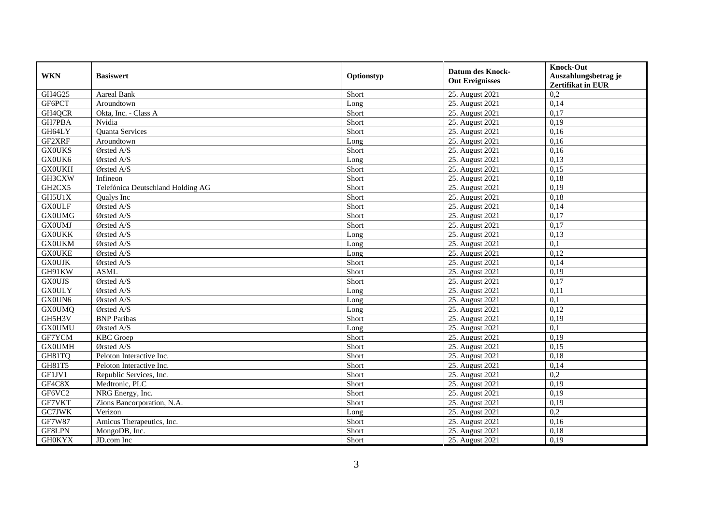| <b>WKN</b>                      | <b>Basiswert</b>                  | Optionstyp | <b>Datum des Knock-</b> | <b>Knock-Out</b>                                 |
|---------------------------------|-----------------------------------|------------|-------------------------|--------------------------------------------------|
|                                 |                                   |            | <b>Out Ereignisses</b>  | Auszahlungsbetrag je<br><b>Zertifikat in EUR</b> |
| GH4G25                          | <b>Aareal Bank</b>                | Short      | 25. August 2021         | 0,2                                              |
| GF6PCT                          | Aroundtown                        | Long       | 25. August 2021         | 0,14                                             |
| GH4QCR                          | Okta, Inc. - Class A              | Short      | 25. August 2021         | 0,17                                             |
| GH7PBA                          | Nvidia                            | Short      | 25. August 2021         | 0,19                                             |
| GH64LY                          | Quanta Services                   | Short      | 25. August 2021         | 0,16                                             |
| GF2XRF                          | Aroundtown                        | Long       | 25. August 2021         | 0,16                                             |
| <b>GX0UKS</b>                   | Ørsted A/S                        | Short      | 25. August 2021         | 0,16                                             |
| GX0UK6                          | $\overline{\text{Q}r}$ sted A/S   | Long       | 25. August 2021         | 0,13                                             |
| <b>GX0UKH</b>                   | Ørsted A/S                        | Short      | 25. August 2021         | 0,15                                             |
| GH3CXW                          | Infineon                          | Short      | 25. August 2021         | 0,18                                             |
| GH <sub>2</sub> CX <sub>5</sub> | Telefónica Deutschland Holding AG | Short      | 25. August 2021         | 0,19                                             |
| GH5U1X                          | Qualys Inc                        | Short      | 25. August 2021         | 0,18                                             |
| <b>GX0ULF</b>                   | Ørsted A/S                        | Short      | 25. August 2021         | 0,14                                             |
| <b>GX0UMG</b>                   | Ørsted A/S                        | Short      | 25. August 2021         | 0,17                                             |
| <b>GX0UMJ</b>                   | Ørsted A/S                        | Short      | 25. August 2021         | 0,17                                             |
| <b>GX0UKK</b>                   | Ørsted A/S                        | Long       | 25. August 2021         | 0,13                                             |
| <b>GX0UKM</b>                   | Ørsted A/S                        | Long       | 25. August 2021         | 0,1                                              |
| <b>GX0UKE</b>                   | Ørsted A/S                        | Long       | 25. August 2021         | 0,12                                             |
| <b>GX0UJK</b>                   | Ørsted A/S                        | Short      | 25. August 2021         | 0,14                                             |
| GH91KW                          | <b>ASML</b>                       | Short      | 25. August 2021         | 0,19                                             |
| <b>GX0UJS</b>                   | Ørsted A/S                        | Short      | 25. August 2021         | 0,17                                             |
| <b>GX0ULY</b>                   | Ørsted A/S                        | Long       | 25. August 2021         | 0,11                                             |
| GX0UN6                          | Ørsted A/S                        | Long       | 25. August 2021         | $\overline{0,1}$                                 |
| <b>GX0UMQ</b>                   | Ørsted A/S                        | Long       | 25. August 2021         | 0,12                                             |
| GH5H3V                          | <b>BNP</b> Paribas                | Short      | 25. August 2021         | 0,19                                             |
| <b>GX0UMU</b>                   | Ørsted A/S                        | Long       | 25. August 2021         | $\overline{0,1}$                                 |
| GF7YCM                          | <b>KBC</b> Groep                  | Short      | 25. August 2021         | 0,19                                             |
| <b>GX0UMH</b>                   | Ørsted A/S                        | Short      | 25. August 2021         | 0,15                                             |
| GH81TQ                          | Peloton Interactive Inc.          | Short      | 25. August 2021         | 0,18                                             |
| GH81T5                          | Peloton Interactive Inc.          | Short      | 25. August 2021         | 0,14                                             |
| GF1JV1                          | Republic Services, Inc.           | Short      | 25. August 2021         | 0,2                                              |
| GF4C8X                          | Medtronic, PLC                    | Short      | 25. August 2021         | 0,19                                             |
| GF6VC2                          | NRG Energy, Inc.                  | Short      | 25. August 2021         | 0,19                                             |
| GF7VKT                          | Zions Bancorporation, N.A.        | Short      | 25. August 2021         | 0,19                                             |
| GC7JWK                          | Verizon                           | Long       | 25. August 2021         | 0,2                                              |
| <b>GF7W87</b>                   | Amicus Therapeutics, Inc.         | Short      | 25. August 2021         | 0,16                                             |
| GF8LPN                          | MongoDB, Inc.                     | Short      | 25. August 2021         | 0,18                                             |
| <b>GH0KYX</b>                   | JD.com Inc                        | Short      | 25. August 2021         | 0,19                                             |